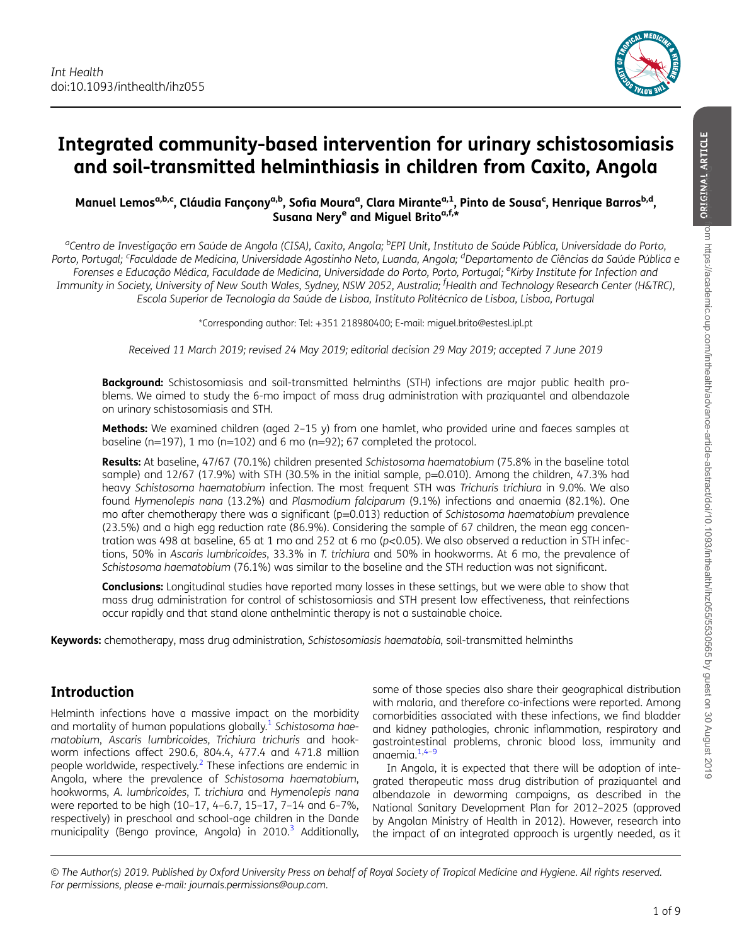

# Integrated community-based intervention for urinary schistosomiasis and soil-transmitted helminthiasis in children from Caxito, Angola

Manuel Lemos<sup>a,b,c</sup>, Cláudia Fançony<sup>a,b</sup>, Sofia Moura<sup>a</sup>, Clara Mirante<sup>a,1</sup>, Pinto de Sousa<sup>c</sup>, Henrique Barros<sup>b,d</sup>, Susana Nerv<sup>e</sup> and Miguel Brito<sup>a,f,\*</sup>

<sup>a</sup>Centro de Investigação em Saúde de Angola (CISA), Caxito, Angola; <sup>b</sup>EPI Unit, Instituto de Saúde Pública, Universidade do Porto, Porto, Portugal; <sup>c</sup>Faculdade de Medicina, Universidade Agostinho Neto, Luanda, Angola; <sup>d</sup>Departamento de Ciências da Saúde Pública e Forenses e Educação Médica, Faculdade de Medicina, Universidade do Porto, Porto, Portugal; <sup>e</sup>Kirby Institute for Infection and Immunity in Society, University of New South Wales, Sydney, NSW 2052, Australia; <sup>f</sup> Health and Technology Research Center (H&TRC), Escola Superior de Tecnologia da Saúde de Lisboa, Instituto Politécnico de Lisboa, Lisboa, Portugal

\*Corresponding author: Tel: +351 218980400; E-mail: miguel.brito@estesl.ipl.pt

Received 11 March 2019; revised 24 May 2019; editorial decision 29 May 2019; accepted 7 June 2019

**Background:** Schistosomiasis and soil-transmitted helminths (STH) infections are major public health problems. We aimed to study the 6-mo impact of mass drug administration with praziquantel and albendazole on urinary schistosomiasis and STH.

Methods: We examined children (aged 2-15 y) from one hamlet, who provided urine and faeces samples at baseline (n=197), 1 mo (n=102) and 6 mo (n=92); 67 completed the protocol.

Results: At baseline, 47/67 (70.1%) children presented Schistosoma haematobium (75.8% in the baseline total sample) and 12/67 (17.9%) with STH (30.5% in the initial sample, p=0.010). Among the children, 47.3% had heavy Schistosoma haematobium infection. The most frequent STH was Trichuris trichiura in 9.0%. We also found Hymenolepis nana (13.2%) and Plasmodium falciparum (9.1%) infections and anaemia (82.1%). One mo after chemotherapy there was a significant (p=0.013) reduction of Schistosoma haematobium prevalence (23.5%) and a high egg reduction rate (86.9%). Considering the sample of 67 children, the mean egg concentration was 498 at baseline, 65 at 1 mo and 252 at 6 mo (p<0.05). We also observed a reduction in STH infections, 50% in Ascaris lumbricoides, 33.3% in T. trichiura and 50% in hookworms. At 6 mo, the prevalence of Schistosoma haematobium (76.1%) was similar to the baseline and the STH reduction was not significant.

Conclusions: Longitudinal studies have reported many losses in these settings, but we were able to show that mass drug administration for control of schistosomiasis and STH present low effectiveness, that reinfections occur rapidly and that stand alone anthelmintic therapy is not a sustainable choice.

Keywords: chemotherapy, mass drug administration, Schistosomiasis haematobia, soil-transmitted helminths

# Introduction

Helminth infections have a massive impact on the morbidity and mortality of human populations globally.<sup>[1](#page-7-0)</sup> Schistosoma haematobium, Ascaris lumbricoides, Trichiura trichuris and hookworm infections affect 290.6, 804.4, 477.4 and 471.8 million people worldwide, respectively.[2](#page-7-0) These infections are endemic in Angola, where the prevalence of Schistosoma haematobium, hookworms, A. lumbricoides, T. trichiura and Hymenolepis nana were reported to be high (10–17, 4–6.7, 15–17, 7–14 and 6–7%, respectively) in preschool and school-age children in the Dande municipality (Bengo province, Angola) in  $2010<sup>3</sup>$  $2010<sup>3</sup>$  $2010<sup>3</sup>$  Additionally,

some of those species also share their geographical distribution with malaria, and therefore co-infections were reported. Among comorbidities associated with these infections, we find bladder and kidney pathologies, chronic inflammation, respiratory and gastrointestinal problems, chronic blood loss, immunity and anaemia. $1,4-\frac{6}{3}$  $1,4-\frac{6}{3}$  $1,4-\frac{6}{3}$  $1,4-\frac{6}{3}$ 

In Angola, it is expected that there will be adoption of integrated therapeutic mass drug distribution of praziquantel and albendazole in deworming campaigns, as described in the National Sanitary Development Plan for 2012–2025 (approved by Angolan Ministry of Health in 2012). However, research into the impact of an integrated approach is urgently needed, as it

© The Author(s) 2019. Published by Oxford University Press on behalf of Royal Society of Tropical Medicine and Hygiene. All rights reserved. For permissions, please e-mail: journals.permissions@oup.com.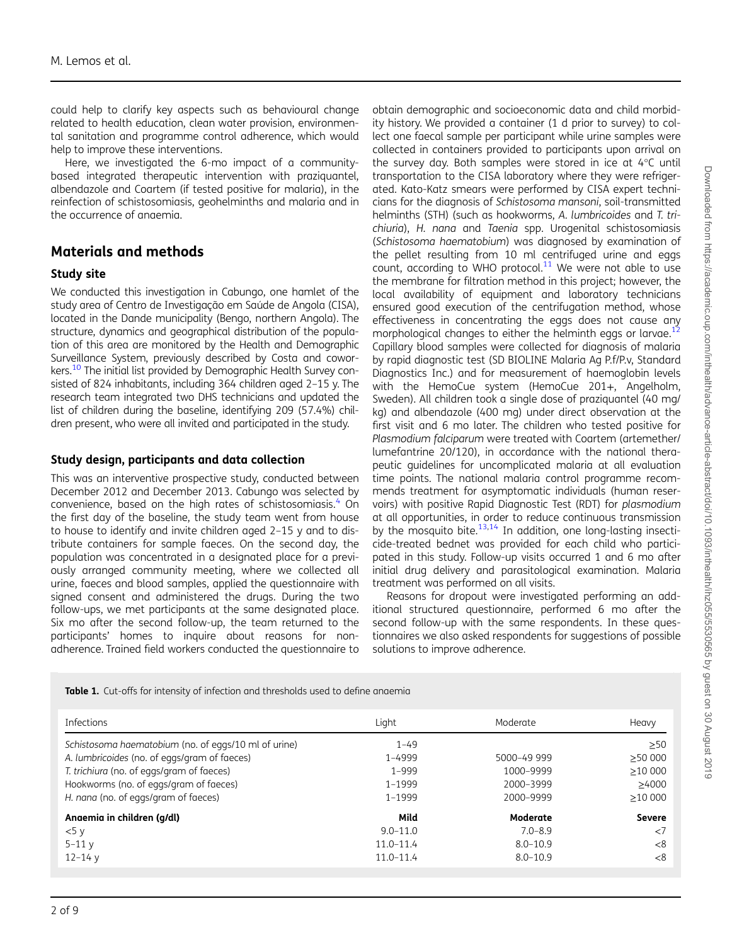<span id="page-1-0"></span>could help to clarify key aspects such as behavioural change related to health education, clean water provision, environmental sanitation and programme control adherence, which would help to improve these interventions.

Here, we investigated the 6-mo impact of a communitybased integrated therapeutic intervention with praziquantel, albendazole and Coartem (if tested positive for malaria), in the reinfection of schistosomiasis, geohelminths and malaria and in the occurrence of anaemia.

# Materials and methods

### Study site

We conducted this investigation in Cabungo, one hamlet of the study area of Centro de Investigação em Saúde de Angola (CISA), located in the Dande municipality (Bengo, northern Angola). The structure, dynamics and geographical distribution of the population of this area are monitored by the Health and Demographic Surveillance System, previously described by Costa and coworkers[.10](#page-8-0) The initial list provided by Demographic Health Survey consisted of 824 inhabitants, including 364 children aged 2–15 y. The research team integrated two DHS technicians and updated the list of children during the baseline, identifying 209 (57.4%) children present, who were all invited and participated in the study.

#### Study design, participants and data collection

This was an interventive prospective study, conducted between December 2012 and December 2013. Cabungo was selected by convenience, based on the high rates of schistosomiasis.<sup>[4](#page-8-0)</sup> On the first day of the baseline, the study team went from house to house to identify and invite children aged 2–15 y and to distribute containers for sample faeces. On the second day, the population was concentrated in a designated place for a previously arranged community meeting, where we collected all urine, faeces and blood samples, applied the questionnaire with signed consent and administered the drugs. During the two follow-ups, we met participants at the same designated place. Six mo after the second follow-up, the team returned to the participants' homes to inquire about reasons for nonadherence. Trained field workers conducted the questionnaire to

obtain demographic and socioeconomic data and child morbidity history. We provided a container (1 d prior to survey) to collect one faecal sample per participant while urine samples were collected in containers provided to participants upon arrival on the survey day. Both samples were stored in ice at 4°C until transportation to the CISA laboratory where they were refrigerated. Kato-Katz smears were performed by CISA expert technicians for the diagnosis of Schistosoma mansoni, soil-transmitted helminths (STH) (such as hookworms, A. lumbricoides and T. trichiuria), H. nana and Taenia spp. Urogenital schistosomiasis (Schistosoma haematobium) was diagnosed by examination of the pellet resulting from 10 ml centrifuged urine and eggs count, according to WHO protocol. $11$  We were not able to use the membrane for filtration method in this project; however, the local availability of equipment and laboratory technicians ensured good execution of the centrifugation method, whose effectiveness in concentrating the eggs does not cause any morphological changes to either the helminth eggs or larvae.<sup>1</sup> Capillary blood samples were collected for diagnosis of malaria by rapid diagnostic test (SD BIOLINE Malaria Ag P.f/P.v, Standard Diagnostics Inc.) and for measurement of haemoglobin levels with the HemoCue system (HemoCue 201+, Angelholm, Sweden). All children took a single dose of praziquantel (40 mg/ kg) and albendazole (400 mg) under direct observation at the first visit and 6 mo later. The children who tested positive for Plasmodium falciparum were treated with Coartem (artemether/ lumefantrine 20/120), in accordance with the national therapeutic guidelines for uncomplicated malaria at all evaluation time points. The national malaria control programme recommends treatment for asymptomatic individuals (human reservoirs) with positive Rapid Diagnostic Test (RDT) for plasmodium at all opportunities, in order to reduce continuous transmission by the mosquito bite. $13,14$  In addition, one long-lasting insecticide-treated bednet was provided for each child who participated in this study. Follow-up visits occurred 1 and 6 mo after initial drug delivery and parasitological examination. Malaria treatment was performed on all visits.

Reasons for dropout were investigated performing an additional structured questionnaire, performed 6 mo after the second follow-up with the same respondents. In these questionnaires we also asked respondents for suggestions of possible solutions to improve adherence.

| <b>Infections</b>                                    | Light         | Moderate     | Heavy         |
|------------------------------------------------------|---------------|--------------|---------------|
| Schistosoma haematobium (no. of eggs/10 ml of urine) | $1 - 49$      |              | >50           |
| A. lumbricoides (no. of eggs/gram of faeces)         | 1-4999        | 5000-49 999  | >50000        |
| T. trichiura (no. of eggs/gram of faeces)            | $1 - 999$     | 1000-9999    | >10000        |
| Hookworms (no. of eggs/gram of faeces)               | 1-1999        | 2000-3999    | >4000         |
| H. nana (no. of eggs/gram of faeces)                 | 1-1999        | 2000-9999    | >10000        |
| Anaemia in children (g/dl)                           | Mild          | Moderate     | <b>Severe</b> |
| < 5y                                                 | $9.0 - 11.0$  | $7.0 - 8.9$  | $\langle$ 7   |
| $5 - 11y$                                            | $11.0 - 11.4$ | $8.0 - 10.9$ | <8            |
| $12 - 14y$                                           | $11.0 - 11.4$ | $8.0 - 10.9$ | <8            |

Table 1. Cut-offs for intensity of infection and thresholds used to define anaemia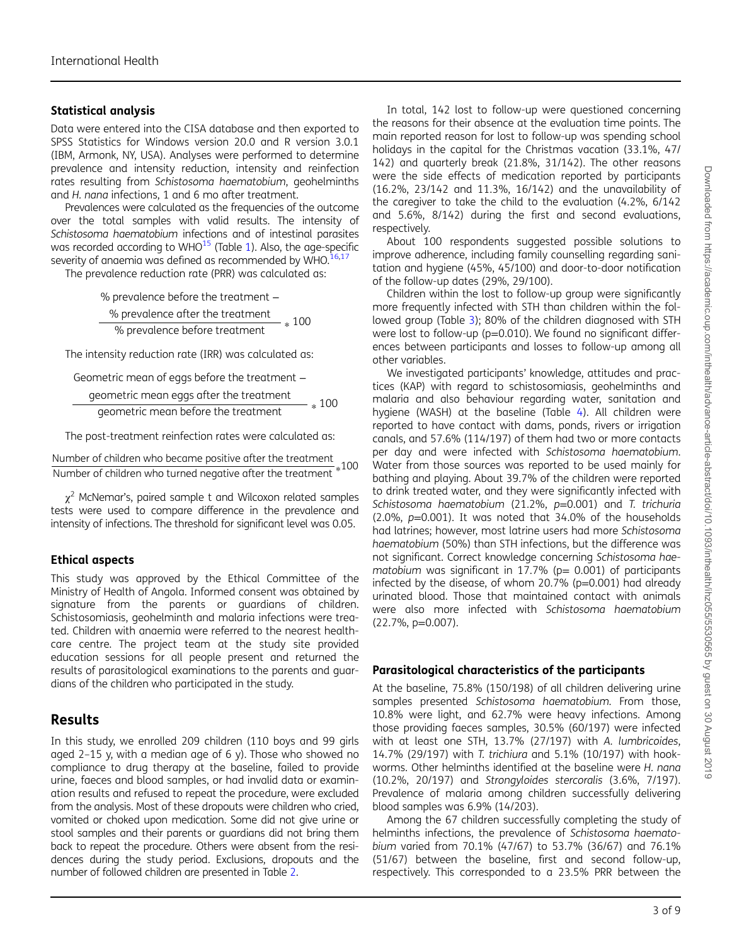### Statistical analysis

Data were entered into the CISA database and then exported to SPSS Statistics for Windows version 20.0 and R version 3.0.1 (IBM, Armonk, NY, USA). Analyses were performed to determine prevalence and intensity reduction, intensity and reinfection rates resulting from Schistosoma haematobium, geohelminths and H. nana infections, 1 and 6 mo after treatment.

Prevalences were calculated as the frequencies of the outcome over the total samples with valid results. The intensity of Schistosoma haematobium infections and of intestinal parasites was recorded according to WHO $^{15}$  $^{15}$  $^{15}$  (Table 1). Also, the age-specific severity of anaemia was defined as recommended by WHO.<sup>16,17</sup>

The prevalence reduction rate (PRR) was calculated as:

− % prevalence before the treatment

 $\cdot$   $*$  100 % prevalence after the treatment % prevalence before treatment

The intensity reduction rate (IRR) was calculated as:

− ⁎ Geometric mean of eggs before the treatment geometric mean eggs after the treatment geometric mean before the treatment <sup>100</sup>

The post-treatment reinfection rates were calculated as:

Number of children who became positive after the treatment <sub>\*100</sub> Number of children who turned negative after the treatment

 $\chi^2$  McNemar's, paired sample t and Wilcoxon related samples tests were used to compare difference in the prevalence and intensity of infections. The threshold for significant level was 0.05.

### Ethical aspects

This study was approved by the Ethical Committee of the Ministry of Health of Angola. Informed consent was obtained by signature from the parents or guardians of children. Schistosomiasis, geohelminth and malaria infections were treated. Children with anaemia were referred to the nearest healthcare centre. The project team at the study site provided education sessions for all people present and returned the results of parasitological examinations to the parents and guardians of the children who participated in the study.

## Results

In this study, we enrolled 209 children (110 boys and 99 girls aged 2–15 y, with a median age of 6 y). Those who showed no compliance to drug therapy at the baseline, failed to provide urine, faeces and blood samples, or had invalid data or examination results and refused to repeat the procedure, were excluded from the analysis. Most of these dropouts were children who cried, vomited or choked upon medication. Some did not give urine or stool samples and their parents or guardians did not bring them back to repeat the procedure. Others were absent from the residences during the study period. Exclusions, dropouts and the number of followed children are presented in Table [2.](#page-3-0)

In total, 142 lost to follow-up were questioned concerning the reasons for their absence at the evaluation time points. The main reported reason for lost to follow-up was spending school holidays in the capital for the Christmas vacation (33.1%, 47/ 142) and quarterly break (21.8%, 31/142). The other reasons were the side effects of medication reported by participants (16.2%, 23/142 and 11.3%, 16/142) and the unavailability of the caregiver to take the child to the evaluation (4.2%, 6/142 and 5.6%, 8/142) during the first and second evaluations, respectively.

About 100 respondents suggested possible solutions to improve adherence, including family counselling regarding sanitation and hygiene (45%, 45/100) and door-to-door notification of the follow-up dates (29%, 29/100).

Children within the lost to follow-up group were significantly more frequently infected with STH than children within the followed group (Table [3\)](#page-4-0); 80% of the children diagnosed with STH were lost to follow-up (p=0.010). We found no significant differences between participants and losses to follow-up among all other variables.

We investigated participants' knowledge, attitudes and practices (KAP) with regard to schistosomiasis, geohelminths and malaria and also behaviour regarding water, sanitation and hygiene (WASH) at the baseline (Table [4\)](#page-5-0). All children were reported to have contact with dams, ponds, rivers or irrigation canals, and 57.6% (114/197) of them had two or more contacts per day and were infected with Schistosoma haematobium. Water from those sources was reported to be used mainly for bathing and playing. About 39.7% of the children were reported to drink treated water, and they were significantly infected with Schistosoma haematobium (21.2%,  $p=0.001$ ) and T. trichuria  $(2.0\%$ ,  $p=0.001$ ). It was noted that  $34.0\%$  of the households had latrines; however, most latrine users had more Schistosoma haematobium (50%) than STH infections, but the difference was not significant. Correct knowledge concerning Schistosoma haematobium was significant in 17.7% ( $p = 0.001$ ) of participants infected by the disease, of whom 20.7% (p=0.001) had already urinated blood. Those that maintained contact with animals were also more infected with Schistosoma haematobium (22.7%, p=0.007).

#### Parasitological characteristics of the participants

At the baseline, 75.8% (150/198) of all children delivering urine samples presented Schistosoma haematobium. From those, 10.8% were light, and 62.7% were heavy infections. Among those providing faeces samples, 30.5% (60/197) were infected with at least one STH, 13.7% (27/197) with A. lumbricoides, 14.7% (29/197) with T. trichiura and 5.1% (10/197) with hookworms. Other helminths identified at the baseline were H. nana (10.2%, 20/197) and Strongyloides stercoralis (3.6%, 7/197). Prevalence of malaria among children successfully delivering blood samples was 6.9% (14/203).

Among the 67 children successfully completing the study of helminths infections, the prevalence of Schistosoma haematobium varied from 70.1% (47/67) to 53.7% (36/67) and 76.1% (51/67) between the baseline, first and second follow-up, respectively. This corresponded to a 23.5% PRR between the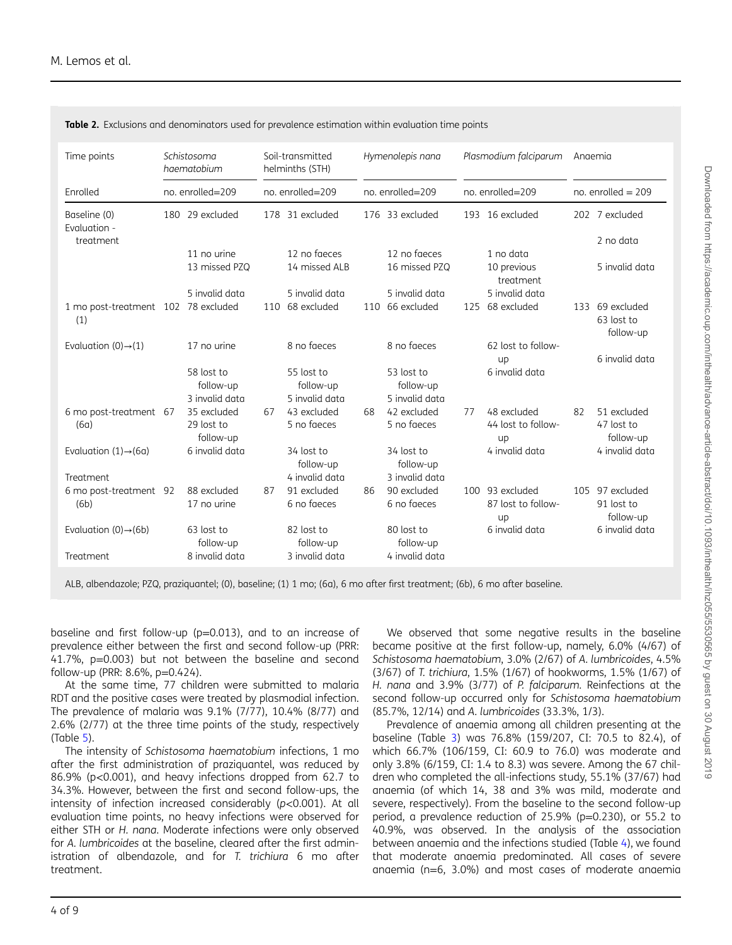| Time points                               |     | Schistosoma<br>haematobium                |                  | Soil-transmitted<br>Hymenolepis nana<br>helminths (STH) |                  | Plasmodium falciparum                     |                  | Anaemia                                     |                      |                                        |
|-------------------------------------------|-----|-------------------------------------------|------------------|---------------------------------------------------------|------------------|-------------------------------------------|------------------|---------------------------------------------|----------------------|----------------------------------------|
| Enrolled                                  |     | no. enrolled=209                          | no. enrolled=209 |                                                         | no. enrolled=209 |                                           | no. enrolled=209 |                                             | no. enrolled $= 209$ |                                        |
| Baseline (0)<br>Evaluation -<br>treatment |     | 180 29 excluded                           |                  | 178 31 excluded                                         |                  | 176 33 excluded                           |                  | 193 16 excluded                             |                      | 202 7 excluded<br>2 no data            |
|                                           |     | 11 no urine                               |                  | 12 no faeces                                            |                  | 12 no faeces                              |                  | 1 no data                                   |                      |                                        |
|                                           |     | 13 missed PZO                             |                  | 14 missed ALB                                           |                  | 16 missed PZO                             |                  | 10 previous<br>treatment                    |                      | 5 invalid data                         |
|                                           |     | 5 invalid data                            |                  | 5 invalid data                                          |                  | 5 invalid data                            |                  | 5 invalid data                              |                      |                                        |
| 1 mo post-treatment 102<br>(1)            |     | 78 excluded                               | 110              | 68 excluded                                             | 110              | 66 excluded                               | 125              | 68 excluded                                 | 133                  | 69 excluded<br>63 lost to<br>follow-up |
| Evaluation $(0) \rightarrow (1)$          |     | 17 no urine                               |                  | 8 no faeces                                             |                  | 8 no faeces                               |                  | 62 lost to follow-<br>up                    |                      | 6 invalid data                         |
|                                           |     | 58 lost to<br>follow-up<br>3 invalid data |                  | 55 lost to<br>follow-up<br>5 invalid data               |                  | 53 lost to<br>follow-up<br>5 invalid data |                  | 6 invalid data                              |                      |                                        |
| 6 mo post-treatment                       | -67 | 35 excluded                               | 67               | 43 excluded                                             | 68               | 42 excluded                               | 77               | 48 excluded                                 | 82                   | 51 excluded                            |
| (6a)                                      |     | 29 lost to<br>follow-up                   |                  | 5 no faeces                                             |                  | 5 no faeces                               |                  | 44 lost to follow-<br>up                    |                      | 47 lost to<br>follow-up                |
| Evaluation $(1) \rightarrow (6a)$         |     | 6 invalid data                            |                  | 34 lost to<br>follow-up                                 |                  | 34 lost to<br>follow-up                   |                  | 4 invalid data                              |                      | 4 invalid data                         |
| Treatment                                 |     |                                           |                  | 4 invalid data                                          |                  | 3 invalid data                            |                  |                                             |                      |                                        |
| 6 mo post-treatment 92<br>(6b)            |     | 88 excluded<br>17 no urine                | 87               | 91 excluded<br>6 no faeces                              | 86               | 90 excluded<br>6 no faeces                |                  | 100 93 excluded<br>87 lost to follow-<br>up | 105                  | 97 excluded<br>91 lost to<br>follow-up |
| Evaluation $(0) \rightarrow (6b)$         |     | 63 lost to<br>follow-up                   |                  | 82 lost to<br>follow-up                                 |                  | 80 lost to<br>follow-up                   |                  | 6 invalid data                              |                      | 6 invalid data                         |
| Treatment                                 |     | 8 invalid data                            |                  | 3 invalid data                                          |                  | 4 invalid data                            |                  |                                             |                      |                                        |

<span id="page-3-0"></span>Table 2. Exclusions and denominators used for prevalence estimation within evaluation time points

ALB, albendazole; PZQ, praziquantel; (0), baseline; (1) 1 mo; (6a), 6 mo after first treatment; (6b), 6 mo after baseline.

baseline and first follow-up (p=0.013), and to an increase of prevalence either between the first and second follow-up (PRR: 41.7%, p=0.003) but not between the baseline and second follow-up (PRR: 8.6%, p=0.424).

At the same time, 77 children were submitted to malaria RDT and the positive cases were treated by plasmodial infection. The prevalence of malaria was 9.1% (7/77), 10.4% (8/77) and 2.6% (2/77) at the three time points of the study, respectively (Table [5\)](#page-6-0).

The intensity of Schistosoma haematobium infections, 1 mo after the first administration of praziquantel, was reduced by 86.9% (p<0.001), and heavy infections dropped from 62.7 to 34.3%. However, between the first and second follow-ups, the intensity of infection increased considerably (p<0.001). At all evaluation time points, no heavy infections were observed for either STH or H. nana. Moderate infections were only observed for A. lumbricoides at the baseline, cleared after the first administration of albendazole, and for T. trichiura 6 mo after treatment.

We observed that some negative results in the baseline became positive at the first follow-up, namely, 6.0% (4/67) of Schistosoma haematobium, 3.0% (2/67) of A. lumbricoides, 4.5% (3/67) of T. trichiura, 1.5% (1/67) of hookworms, 1.5% (1/67) of H. nana and 3.9% (3/77) of P. falciparum. Reinfections at the second follow-up occurred only for Schistosoma haematobium (85.7%, 12/14) and A. lumbricoides (33.3%, 1/3).

Prevalence of anaemia among all children presenting at the baseline (Table [3\)](#page-4-0) was 76.8% (159/207, CI: 70.5 to 82.4), of which 66.7% (106/159, CI: 60.9 to 76.0) was moderate and only 3.8% (6/159, CI: 1.4 to 8.3) was severe. Among the 67 children who completed the all-infections study, 55.1% (37/67) had anaemia (of which 14, 38 and 3% was mild, moderate and severe, respectively). From the baseline to the second follow-up period, a prevalence reduction of 25.9% (p=0.230), or 55.2 to 40.9%, was observed. In the analysis of the association between anaemia and the infections studied (Table [4\)](#page-5-0), we found that moderate anaemia predominated. All cases of severe anaemia (n=6, 3.0%) and most cases of moderate anaemia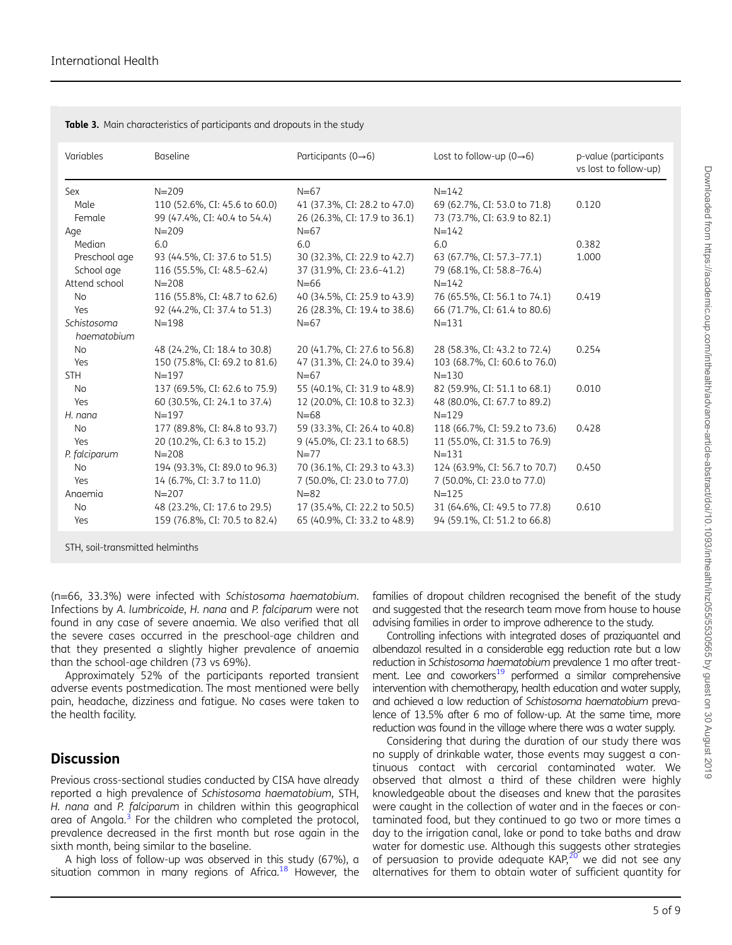| Variables                  | Baseline                      | Participants $(0\rightarrow 6)$ | Lost to follow-up $(0\rightarrow 6)$ | p-value (participants<br>vs lost to follow-up) |
|----------------------------|-------------------------------|---------------------------------|--------------------------------------|------------------------------------------------|
| Sex                        | $N = 209$                     | $N = 67$                        | $N = 142$                            |                                                |
| Male                       | 110 (52.6%, CI: 45.6 to 60.0) | 41 (37.3%, CI: 28.2 to 47.0)    | 69 (62.7%, CI: 53.0 to 71.8)         | 0.120                                          |
| Female                     | 99 (47.4%, CI: 40.4 to 54.4)  | 26 (26.3%, CI: 17.9 to 36.1)    | 73 (73.7%, CI: 63.9 to 82.1)         |                                                |
| Age                        | $N = 209$                     | $N = 67$                        | $N = 142$                            |                                                |
| Median                     | 6.0                           | 6.0                             | 6.0                                  | 0.382                                          |
| Preschool age              | 93 (44.5%, CI: 37.6 to 51.5)  | 30 (32.3%, CI: 22.9 to 42.7)    | 63 (67.7%, CI: 57.3-77.1)            | 1.000                                          |
| School age                 | 116 (55.5%, CI: 48.5-62.4)    | 37 (31.9%, CI: 23.6-41.2)       | 79 (68.1%, CI: 58.8-76.4)            |                                                |
| Attend school              | $N = 208$                     | $N=66$                          | $N = 142$                            |                                                |
| <b>No</b>                  | 116 (55.8%, CI: 48.7 to 62.6) | 40 (34.5%, CI: 25.9 to 43.9)    | 76 (65.5%, CI: 56.1 to 74.1)         | 0.419                                          |
| Yes                        | 92 (44.2%, CI: 37.4 to 51.3)  | 26 (28.3%, CI: 19.4 to 38.6)    | 66 (71.7%, CI: 61.4 to 80.6)         |                                                |
| Schistosoma<br>haematobium | $N = 198$                     | $N = 67$                        | $N = 131$                            |                                                |
| <b>No</b>                  | 48 (24.2%, CI: 18.4 to 30.8)  | 20 (41.7%, CI: 27.6 to 56.8)    | 28 (58.3%, CI: 43.2 to 72.4)         | 0.254                                          |
| Yes                        | 150 (75.8%, CI: 69.2 to 81.6) | 47 (31.3%, CI: 24.0 to 39.4)    | 103 (68.7%, CI: 60.6 to 76.0)        |                                                |
| <b>STH</b>                 | $N = 197$                     | $N=67$                          | $N = 130$                            |                                                |
| No                         | 137 (69.5%, CI: 62.6 to 75.9) | 55 (40.1%, CI: 31.9 to 48.9)    | 82 (59.9%, CI: 51.1 to 68.1)         | 0.010                                          |
| Yes                        | 60 (30.5%, CI: 24.1 to 37.4)  | 12 (20.0%, CI: 10.8 to 32.3)    | 48 (80.0%, CI: 67.7 to 89.2)         |                                                |
| H. nana                    | $N = 197$                     | $N = 68$                        | $N = 129$                            |                                                |
| <b>No</b>                  | 177 (89.8%, CI: 84.8 to 93.7) | 59 (33.3%, CI: 26.4 to 40.8)    | 118 (66.7%, CI: 59.2 to 73.6)        | 0.428                                          |
| Yes                        | 20 (10.2%, CI: 6.3 to 15.2)   | 9 (45.0%, CI: 23.1 to 68.5)     | 11 (55.0%, CI: 31.5 to 76.9)         |                                                |
| P. falciparum              | $N = 208$                     | $N = 77$                        | $N = 131$                            |                                                |
| <b>No</b>                  | 194 (93.3%, CI: 89.0 to 96.3) | 70 (36.1%, CI: 29.3 to 43.3)    | 124 (63.9%, CI: 56.7 to 70.7)        | 0.450                                          |
| Yes                        | 14 (6.7%, CI: 3.7 to 11.0)    | 7 (50.0%, CI: 23.0 to 77.0)     | 7 (50.0%, CI: 23.0 to 77.0)          |                                                |
| Anaemia                    | $N = 207$                     | $N = 82$                        | $N = 125$                            |                                                |
| No                         | 48 (23.2%, CI: 17.6 to 29.5)  | 17 (35.4%, CI: 22.2 to 50.5)    | 31 (64.6%, CI: 49.5 to 77.8)         | 0.610                                          |
| Yes                        | 159 (76.8%, CI: 70.5 to 82.4) | 65 (40.9%, CI: 33.2 to 48.9)    | 94 (59.1%, CI: 51.2 to 66.8)         |                                                |

<span id="page-4-0"></span>Table 3. Main characteristics of participants and dropouts in the study

STH, soil-transmitted helminths

(n=66, 33.3%) were infected with Schistosoma haematobium. Infections by A. lumbricoide, H. nana and P. falciparum were not found in any case of severe anaemia. We also verified that all the severe cases occurred in the preschool-age children and that they presented a slightly higher prevalence of anaemia than the school-age children (73 vs 69%).

Approximately 52% of the participants reported transient adverse events postmedication. The most mentioned were belly pain, headache, dizziness and fatigue. No cases were taken to the health facility.

## **Discussion**

Previous cross-sectional studies conducted by CISA have already reported a high prevalence of Schistosoma haematobium, STH, H. nana and P. falciparum in children within this geographical area of Angola. $3$  For the children who completed the protocol, prevalence decreased in the first month but rose again in the sixth month, being similar to the baseline.

A high loss of follow-up was observed in this study (67%), a situation common in many regions of Africa. $18$  However, the

families of dropout children recognised the benefit of the study and suggested that the research team move from house to house advising families in order to improve adherence to the study.

Controlling infections with integrated doses of praziquantel and albendazol resulted in a considerable egg reduction rate but a low reduction in Schistosoma haematobium prevalence 1 mo after treatment. Lee and coworkers<sup>19</sup> performed a similar comprehensive intervention with chemotherapy, health education and water supply, and achieved a low reduction of Schistosoma haematobium prevalence of 13.5% after 6 mo of follow-up. At the same time, more reduction was found in the village where there was a water supply.

Considering that during the duration of our study there was no supply of drinkable water, those events may suggest a continuous contact with cercarial contaminated water. We observed that almost a third of these children were highly knowledgeable about the diseases and knew that the parasites were caught in the collection of water and in the faeces or contaminated food, but they continued to go two or more times a day to the irrigation canal, lake or pond to take baths and draw water for domestic use. Although this suggests other strategies of persuasion to provide adequate  $KAP<sub>1</sub><sup>20</sup>$  $KAP<sub>1</sub><sup>20</sup>$  $KAP<sub>1</sub><sup>20</sup>$  we did not see any alternatives for them to obtain water of sufficient quantity for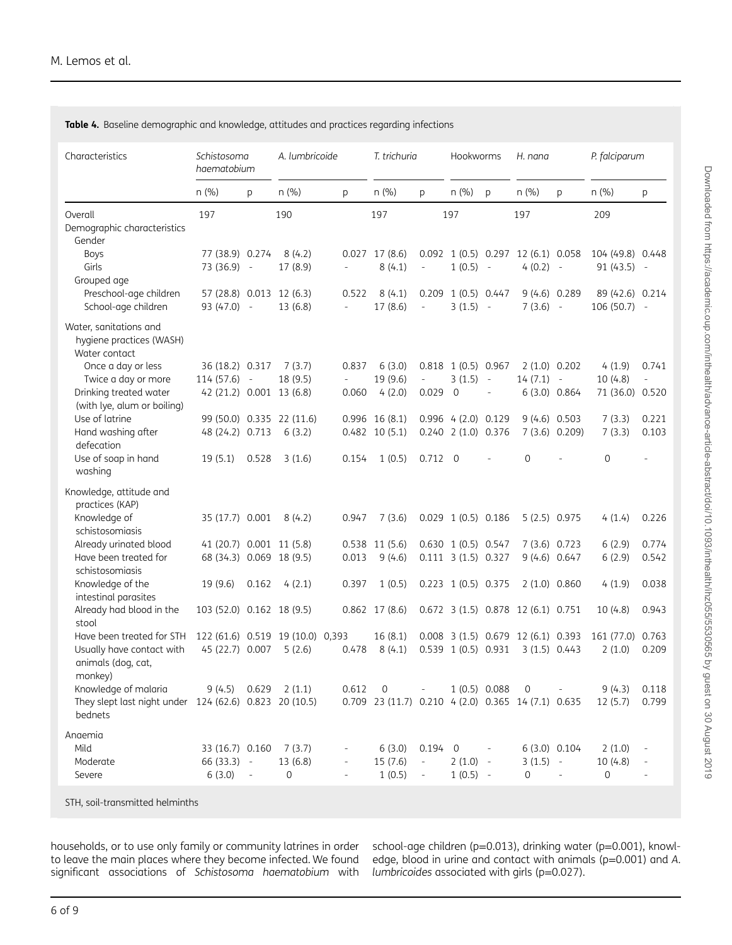| Characteristics                                                                         | Schistosoma<br>haematobium                          |       | A. lumbricoide            |                   | T. trichuria                                       |                                   | Hookworms                |          | H. nana                                            |              | P. falciparum                    |       |
|-----------------------------------------------------------------------------------------|-----------------------------------------------------|-------|---------------------------|-------------------|----------------------------------------------------|-----------------------------------|--------------------------|----------|----------------------------------------------------|--------------|----------------------------------|-------|
|                                                                                         | n(% )                                               | p     | n(%)                      | p                 | n(%)                                               | p                                 | n (%)                    | p        | n(%)                                               | p            | n (%)                            | p     |
| Overall<br>Demographic characteristics<br>Gender                                        | 197                                                 |       | 190                       |                   | 197                                                |                                   | 197                      |          | 197                                                |              | 209                              |       |
| Boys<br>Girls<br>Grouped age                                                            | 77 (38.9) 0.274<br>73 (36.9) -                      |       | 8(4.2)<br>17(8.9)         |                   | $0.027$ 17 (8.6)<br>8(4.1)                         | $\equiv$                          | $1(0.5) -$               |          | 0.092 1 (0.5) 0.297 12 (6.1) 0.058<br>$4(0.2) -$   |              | 104 (49.8) 0.448<br>$91(43.5) -$ |       |
| Preschool-age children<br>School-age children                                           | 57 (28.8) 0.013 12 (6.3)<br>93 (47.0) -             |       | 13(6.8)                   | 0.522<br>$\equiv$ | 8(4.1)<br>17 (8.6)                                 | 0.209<br>$\equiv$                 | 1(0.5) 0.447<br>3(1.5)   | $\sim$   | 9(4.6) 0.289<br>$7(3.6) -$                         |              | 89 (42.6) 0.214<br>$106(50.7)$ - |       |
| Water, sanitations and<br>hygiene practices (WASH)<br>Water contact                     |                                                     |       |                           |                   |                                                    |                                   |                          |          |                                                    |              |                                  |       |
| Once a day or less                                                                      | 36 (18.2) 0.317                                     |       | 7(3.7)                    | 0.837             | 6(3.0)                                             |                                   | $0.818$ 1 (0.5) 0.967    |          | 2(1.0) 0.202                                       |              | 4(1.9)                           | 0.741 |
| Twice a day or more                                                                     | $114(57.6)$ -                                       |       | 18 (9.5)                  | $\sim$            | 19 (9.6)                                           | $\equiv$                          | 3(1.5)                   | $\sim$   | 14(7.1)                                            | $\sim$       | 10(4.8)                          |       |
| Drinking treated water<br>(with lye, alum or boiling)                                   | 42 (21.2) 0.001 13 (6.8)                            |       |                           | 0.060             | 4(2.0)                                             | 0.029                             | $\overline{0}$           | $\equiv$ | $6(3.0)$ 0.864                                     |              | 71 (36.0) 0.520                  |       |
| Use of latrine                                                                          |                                                     |       | 99 (50.0) 0.335 22 (11.6) |                   | $0.996$ 16 (8.1)                                   |                                   | $0.996$ 4 (2.0) 0.129    |          | 9(4.6) 0.503                                       |              | 7(3.3)                           | 0.221 |
| Hand washing after<br>defecation                                                        | 48 (24.2) 0.713                                     |       | 6(3.2)                    |                   | 0.482 10 (5.1)                                     |                                   | 0.240 2 (1.0) 0.376      |          |                                                    | 7(3.6) 0.209 | 7(3.3)                           | 0.103 |
| Use of soap in hand<br>washing                                                          | 19(5.1)                                             | 0.528 | 3(1.6)                    | 0.154             | 1(0.5)                                             | $0.712 \quad 0$                   |                          |          | $\mathbf 0$                                        |              | $\mathbf{0}$                     |       |
| Knowledge, attitude and<br>practices (KAP)                                              |                                                     |       |                           |                   |                                                    |                                   |                          |          |                                                    |              |                                  |       |
| Knowledge of<br>schistosomiasis                                                         | 35 (17.7) 0.001                                     |       | 8(4.2)                    | 0.947             | 7(3.6)                                             |                                   | 0.029 1 (0.5) 0.186      |          | $5(2.5)$ 0.975                                     |              | 4(1.4)                           | 0.226 |
| Already urinated blood                                                                  | 41 (20.7) 0.001 11 (5.8)                            |       |                           |                   | $0.538$ 11 (5.6)                                   |                                   | 0.630 1 (0.5) 0.547      |          | 7 (3.6) 0.723                                      |              | 6(2.9)                           | 0.774 |
| Have been treated for<br>schistosomiasis                                                | 68 (34.3) 0.069 18 (9.5)                            |       |                           | 0.013             | 9(4.6)                                             |                                   | $0.111$ 3 (1.5) $0.327$  |          | 9(4.6) 0.647                                       |              | 6(2.9)                           | 0.542 |
| Knowledge of the<br>intestinal parasites                                                | 19 (9.6)                                            | 0.162 | 4(2.1)                    | 0.397             | 1(0.5)                                             |                                   | 0.223 1 (0.5) 0.375      |          | 2(1.0) 0.860                                       |              | 4(1.9)                           | 0.038 |
| Already had blood in the<br>stool                                                       | 103 (52.0) 0.162 18 (9.5)                           |       |                           |                   | $0.862$ 17 (8.6)                                   |                                   |                          |          | 0.672 3 (1.5) 0.878 12 (6.1) 0.751                 |              | 10(4.8)                          | 0.943 |
| Have been treated for STH<br>Usually have contact with<br>animals (dog, cat,<br>monkey) | 122 (61.6) 0.519 19 (10.0) 0,393<br>45 (22.7) 0.007 |       | 5(2.6)                    | 0.478             | 16(8.1)<br>8(4.1)                                  |                                   | 0.539 1 (0.5) 0.931      |          | 0.008 3 (1.5) 0.679 12 (6.1) 0.393<br>3(1.5) 0.443 |              | 161 (77.0) 0.763<br>2(1.0)       | 0.209 |
| Knowledge of malaria                                                                    | 9(4.5) 0.629                                        |       | 2(1.1)                    | 0.612             | $\mathbf 0$                                        | $\equiv$                          | 1(0.5) 0.088             |          | $\mathbf 0$                                        |              | 9(4.3)                           | 0.118 |
| They slept last night under 124 (62.6) 0.823 20 (10.5)<br>bednets                       |                                                     |       |                           |                   | 0.709 23 (11.7) 0.210 4 (2.0) 0.365 14 (7.1) 0.635 |                                   |                          |          |                                                    |              | 12(5.7)                          | 0.799 |
| Anaemia                                                                                 |                                                     |       |                           |                   |                                                    |                                   |                          |          |                                                    |              |                                  |       |
| Mild<br>Moderate<br>Severe                                                              | 33 (16.7) 0.160<br>$66(33.3) -$<br>6(3.0)           |       | 7(3.7)<br>13 (6.8)<br>0   | $\overline{a}$    | 6(3.0)<br>15 (7.6)<br>1(0.5)                       | $0.194$ 0<br>$\equiv$<br>$\equiv$ | $2(1.0) -$<br>$1(0.5) -$ | $\equiv$ | $6(3.0)$ $0.104$<br>$3(1.5) -$<br>0                |              | 2(1.0)<br>10(4.8)<br>0           |       |
| STH, soil-transmitted helminths                                                         |                                                     |       |                           |                   |                                                    |                                   |                          |          |                                                    |              |                                  |       |

<span id="page-5-0"></span>Table 4. Baseline demographic and knowledge, attitudes and practices regarding infections

households, or to use only family or community latrines in order to leave the main places where they become infected. We found significant associations of Schistosoma haematobium with school-age children (p=0.013), drinking water (p=0.001), knowledge, blood in urine and contact with animals (p=0.001) and A. lumbricoides associated with girls (p=0.027).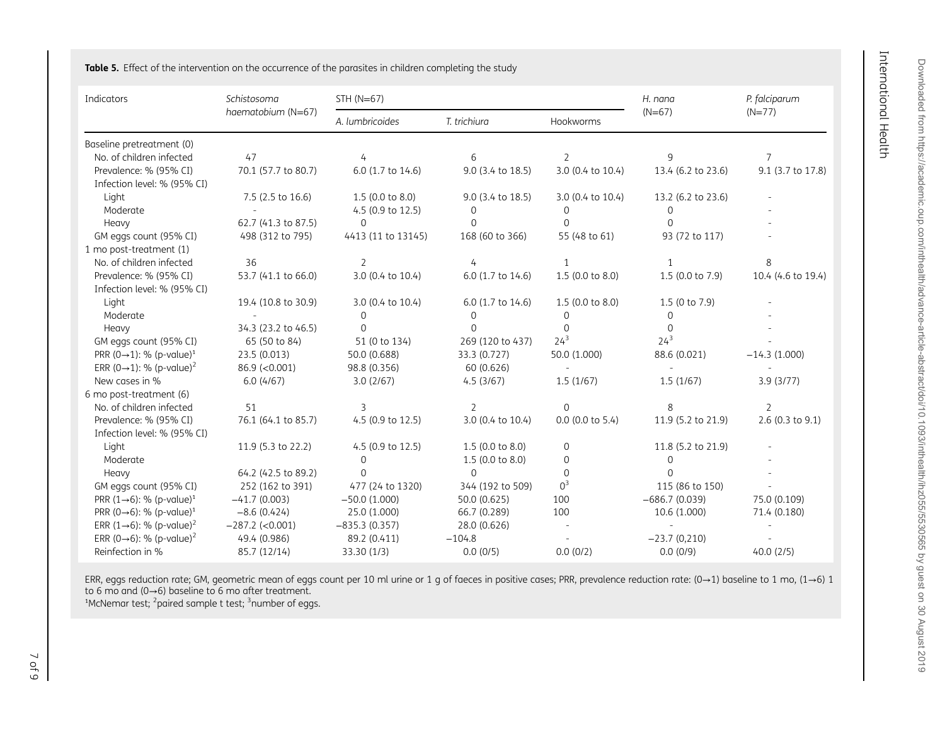<span id="page-6-0"></span>**Table 5.** Effect of the intervention on the occurrence of the parasites in children completing the study

| Indicators                                        | Schistosoma<br>haematobium (N=67) | $STH (N=67)$       |                    | H. nana             | P. falciparum      |                    |
|---------------------------------------------------|-----------------------------------|--------------------|--------------------|---------------------|--------------------|--------------------|
|                                                   |                                   | A. lumbricoides    | T. trichiura       | Hookworms           | $(N=67)$           | $(N=77)$           |
| Baseline pretreatment (0)                         |                                   |                    |                    |                     |                    |                    |
| No. of children infected                          | 47                                | 4                  | 6                  | $\overline{2}$      | 9                  | $\overline{7}$     |
| Prevalence: % (95% CI)                            | 70.1 (57.7 to 80.7)               | 6.0 (1.7 to 14.6)  | 9.0 (3.4 to 18.5)  | 3.0 (0.4 to 10.4)   | 13.4 (6.2 to 23.6) | 9.1 (3.7 to 17.8)  |
| Infection level: % (95% CI)                       |                                   |                    |                    |                     |                    |                    |
| Light                                             | 7.5 (2.5 to 16.6)                 | 1.5(0.0 to 8.0)    | 9.0 (3.4 to 18.5)  | $3.0$ (0.4 to 10.4) | 13.2 (6.2 to 23.6) |                    |
| Moderate                                          |                                   | 4.5 (0.9 to 12.5)  | 0                  | 0                   | $\Omega$           |                    |
| Heavy                                             | 62.7 (41.3 to 87.5)               | $\Omega$           | $\Omega$           | $\Omega$            | $\Omega$           |                    |
| GM eggs count (95% CI)                            | 498 (312 to 795)                  | 4413 (11 to 13145) | 168 (60 to 366)    | 55 (48 to 61)       | 93 (72 to 117)     |                    |
| 1 mo post-treatment (1)                           |                                   |                    |                    |                     |                    |                    |
| No. of children infected                          | 36                                | $\overline{2}$     | 4                  | $\mathbf 1$         | $\mathbf{1}$       | 8                  |
| Prevalence: % (95% CI)                            | 53.7 (41.1 to 66.0)               | 3.0 (0.4 to 10.4)  | 6.0 (1.7 to 14.6)  | 1.5(0.0 to 8.0)     | 1.5 (0.0 to 7.9)   | 10.4 (4.6 to 19.4) |
| Infection level: % (95% CI)                       |                                   |                    |                    |                     |                    |                    |
| Light                                             | 19.4 (10.8 to 30.9)               | 3.0 (0.4 to 10.4)  | 6.0 (1.7 to 14.6)  | 1.5(0.0 to 8.0)     | 1.5 (0 to 7.9)     |                    |
| Moderate                                          |                                   | $\Omega$           | $\Omega$           | 0                   | $\Omega$           |                    |
| Heavy                                             | 34.3 (23.2 to 46.5)               | $\Omega$           | $\Omega$           | $\Omega$            | $\Omega$           |                    |
| GM eggs count (95% CI)                            | 65 (50 to 84)                     | 51 (0 to 134)      | 269 (120 to 437)   | $24^{3}$            | $24^{3}$           |                    |
| PRR $(0\rightarrow 1)$ : % (p-value) <sup>1</sup> | 23.5 (0.013)                      | 50.0 (0.688)       | 33.3 (0.727)       | 50.0 (1.000)        | 88.6 (0.021)       | $-14.3(1.000)$     |
| ERR (0-1): % (p-value) <sup>2</sup>               | $86.9$ (< $0.001$ )               | 98.8 (0.356)       | 60 (0.626)         |                     |                    |                    |
| New cases in %                                    | 6.0(4/67)                         | 3.0(2/67)          | 4.5(3/67)          | 1.5(1/67)           | 1.5(1/67)          | 3.9(3/77)          |
| 6 mo post-treatment (6)                           |                                   |                    |                    |                     |                    |                    |
| No. of children infected                          | 51                                | 3                  | $\overline{2}$     | $\Omega$            | 8                  | $\overline{2}$     |
| Prevalence: % (95% CI)                            | 76.1 (64.1 to 85.7)               | 4.5 (0.9 to 12.5)  | 3.0 (0.4 to 10.4)  | $0.0$ (0.0 to 5.4)  | 11.9 (5.2 to 21.9) | 2.6 (0.3 to 9.1)   |
| Infection level: % (95% CI)                       |                                   |                    |                    |                     |                    |                    |
| Light                                             | 11.9 (5.3 to 22.2)                | 4.5 (0.9 to 12.5)  | $1.5$ (0.0 to 8.0) | 0                   | 11.8 (5.2 to 21.9) |                    |
| Moderate                                          |                                   | $\Omega$           | $1.5$ (0.0 to 8.0) | 0                   | $\Omega$           |                    |
| Heavy                                             | 64.2 (42.5 to 89.2)               | $\Omega$           | $\Omega$           | $\mathbf 0$         | $\Omega$           |                    |
| GM eggs count (95% CI)                            | 252 (162 to 391)                  | 477 (24 to 1320)   | 344 (192 to 509)   | $0^3$               | 115 (86 to 150)    |                    |
| PRR $(1\rightarrow 6)$ : % (p-value) <sup>1</sup> | $-41.7(0.003)$                    | $-50.0(1.000)$     | 50.0 (0.625)       | 100                 | $-686.7(0.039)$    | 75.0 (0.109)       |
| PRR (0 $\rightarrow$ 6): % (p-value) <sup>1</sup> | $-8.6(0.424)$                     | 25.0 (1.000)       | 66.7 (0.289)       | 100                 | 10.6 (1.000)       | 71.4 (0.180)       |
| ERR (1 $\rightarrow$ 6): % (p-value) <sup>2</sup> | $-287.2$ ( $< 0.001$ )            | $-835.3(0.357)$    | 28.0 (0.626)       |                     |                    |                    |
| ERR (0 $\rightarrow$ 6): % (p-value) <sup>2</sup> | 49.4 (0.986)                      | 89.2 (0.411)       | $-104.8$           |                     | $-23.7(0,210)$     |                    |
| Reinfection in %                                  | 85.7 (12/14)                      | 33.30 (1/3)        | 0.0(0/5)           | 0.0(0/2)            | 0.0(0/9)           | 40.0(2/5)          |

ERR, eggs reduction rate; GM, geometric mean of eggs count per 10 ml urine or 1 g of faeces in positive cases; PRR, prevalence reduction rate: (0→1) baseline to 1 mo, (1→6) 1 to 6 mo and (0→6) baseline to 6 mo after treatment.

 $^{\rm 1}$ McNemar test;  $^{\rm 2}$ paired sample t test;  $^{\rm 3}$ number of eggs.

International Health International Health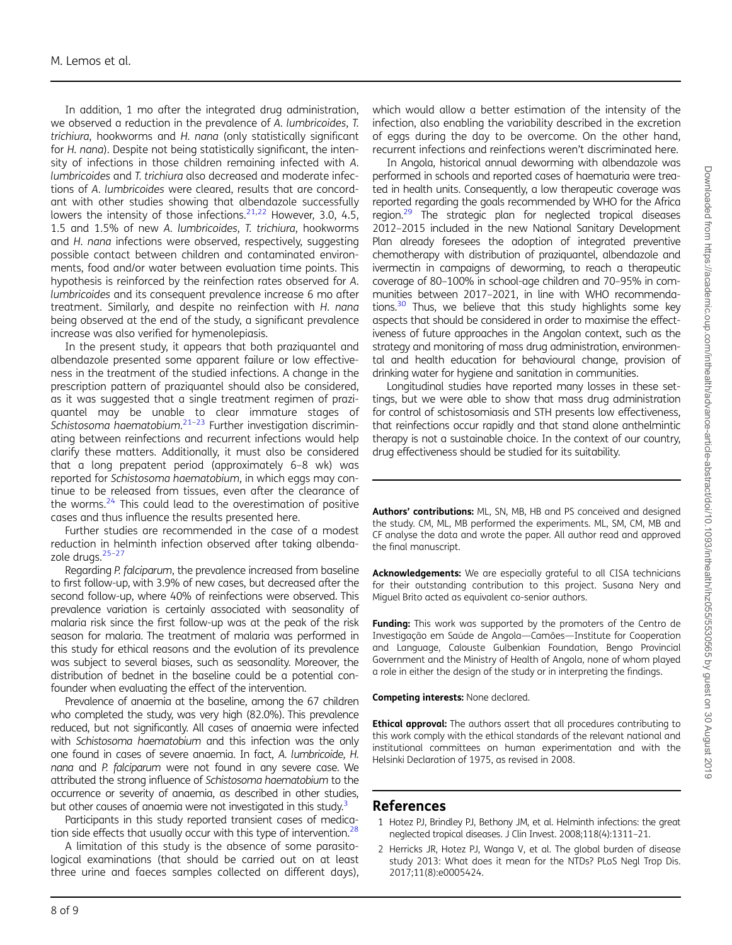<span id="page-7-0"></span>In addition, 1 mo after the integrated drug administration, we observed a reduction in the prevalence of A. lumbricoides, T. trichiura, hookworms and H. nana (only statistically significant for H. nana). Despite not being statistically significant, the intensity of infections in those children remaining infected with A. lumbricoides and T. trichiura also decreased and moderate infections of A. lumbricoides were cleared, results that are concordant with other studies showing that albendazole successfully lowers the intensity of those infections.<sup>21,22</sup> However, 3.0, 4.5, 1.5 and 1.5% of new A. lumbricoides, T. trichiura, hookworms and H. nana infections were observed, respectively, suggesting possible contact between children and contaminated environments, food and/or water between evaluation time points. This hypothesis is reinforced by the reinfection rates observed for A. lumbricoides and its consequent prevalence increase 6 mo after treatment. Similarly, and despite no reinfection with H. nana being observed at the end of the study, a significant prevalence increase was also verified for hymenolepiasis.

In the present study, it appears that both praziquantel and albendazole presented some apparent failure or low effectiveness in the treatment of the studied infections. A change in the prescription pattern of praziquantel should also be considered, as it was suggested that a single treatment regimen of praziquantel may be unable to clear immature stages of Schistosoma haematobium.<sup>[21](#page-8-0)-[23](#page-8-0)</sup> Further investigation discriminating between reinfections and recurrent infections would help clarify these matters. Additionally, it must also be considered that a long prepatent period (approximately 6–8 wk) was reported for Schistosoma haematobium, in which eggs may continue to be released from tissues, even after the clearance of the worms. $24$  This could lead to the overestimation of positive cases and thus influence the results presented here.

Further studies are recommended in the case of a modest reduction in helminth infection observed after taking albenda-zole drugs.<sup>[25](#page-8-0)-[27](#page-8-0)</sup>

Regarding P. falciparum, the prevalence increased from baseline to first follow-up, with 3.9% of new cases, but decreased after the second follow-up, where 40% of reinfections were observed. This prevalence variation is certainly associated with seasonality of malaria risk since the first follow-up was at the peak of the risk season for malaria. The treatment of malaria was performed in this study for ethical reasons and the evolution of its prevalence was subject to several biases, such as seasonality. Moreover, the distribution of bednet in the baseline could be a potential confounder when evaluating the effect of the intervention.

Prevalence of anaemia at the baseline, among the 67 children who completed the study, was very high (82.0%). This prevalence reduced, but not significantly. All cases of anaemia were infected with Schistosoma haematobium and this infection was the only one found in cases of severe anaemia. In fact, A. lumbricoide, H. nana and P. falciparum were not found in any severe case. We attributed the strong influence of Schistosoma haematobium to the occurrence or severity of anaemia, as described in other studies, but other causes of anaemia were not investigated in this study.<sup>[3](#page-8-0)</sup>

Participants in this study reported transient cases of medication side effects that usually occur with this type of intervention. $^{28}$  $^{28}$  $^{28}$ 

A limitation of this study is the absence of some parasitological examinations (that should be carried out on at least three urine and faeces samples collected on different days),

which would allow a better estimation of the intensity of the infection, also enabling the variability described in the excretion of eggs during the day to be overcome. On the other hand, recurrent infections and reinfections weren't discriminated here.

In Angola, historical annual deworming with albendazole was performed in schools and reported cases of haematuria were treated in health units. Consequently, a low therapeutic coverage was reported regarding the goals recommended by WHO for the Africa region.<sup>[29](#page-8-0)</sup> The strategic plan for neglected tropical diseases 2012–2015 included in the new National Sanitary Development Plan already foresees the adoption of integrated preventive chemotherapy with distribution of praziquantel, albendazole and ivermectin in campaigns of deworming, to reach a therapeutic coverage of 80–100% in school-age children and 70–95% in communities between 2017–2021, in line with WHO recommendations. $30$  Thus, we believe that this study highlights some key aspects that should be considered in order to maximise the effectiveness of future approaches in the Angolan context, such as the strategy and monitoring of mass drug administration, environmental and health education for behavioural change, provision of drinking water for hygiene and sanitation in communities.

Longitudinal studies have reported many losses in these settings, but we were able to show that mass drug administration for control of schistosomiasis and STH presents low effectiveness, that reinfections occur rapidly and that stand alone anthelmintic therapy is not a sustainable choice. In the context of our country, drug effectiveness should be studied for its suitability.

Authors' contributions: ML, SN, MB, HB and PS conceived and designed the study. CM, ML, MB performed the experiments. ML, SM, CM, MB and CF analyse the data and wrote the paper. All author read and approved the final manuscript.

Acknowledgements: We are especially grateful to all CISA technicians for their outstanding contribution to this project. Susana Nery and Miguel Brito acted as equivalent co-senior authors.

Funding: This work was supported by the promoters of the Centro de Investigação em Saúde de Angola—Camões—Institute for Cooperation and Language, Calouste Gulbenkian Foundation, Bengo Provincial Government and the Ministry of Health of Angola, none of whom played a role in either the design of the study or in interpreting the findings.

Competing interests: None declared.

**Ethical approval:** The authors assert that all procedures contributing to this work comply with the ethical standards of the relevant national and institutional committees on human experimentation and with the Helsinki Declaration of 1975, as revised in 2008.

#### References

- 1 Hotez PJ, Brindley PJ, Bethony JM, et al. Helminth infections: the great neglected tropical diseases. J Clin Invest. 2008;118(4):1311–21.
- 2 Herricks JR, Hotez PJ, Wanga V, et al. The global burden of disease study 2013: What does it mean for the NTDs? PLoS Negl Trop Dis. 2017;11(8):e0005424.